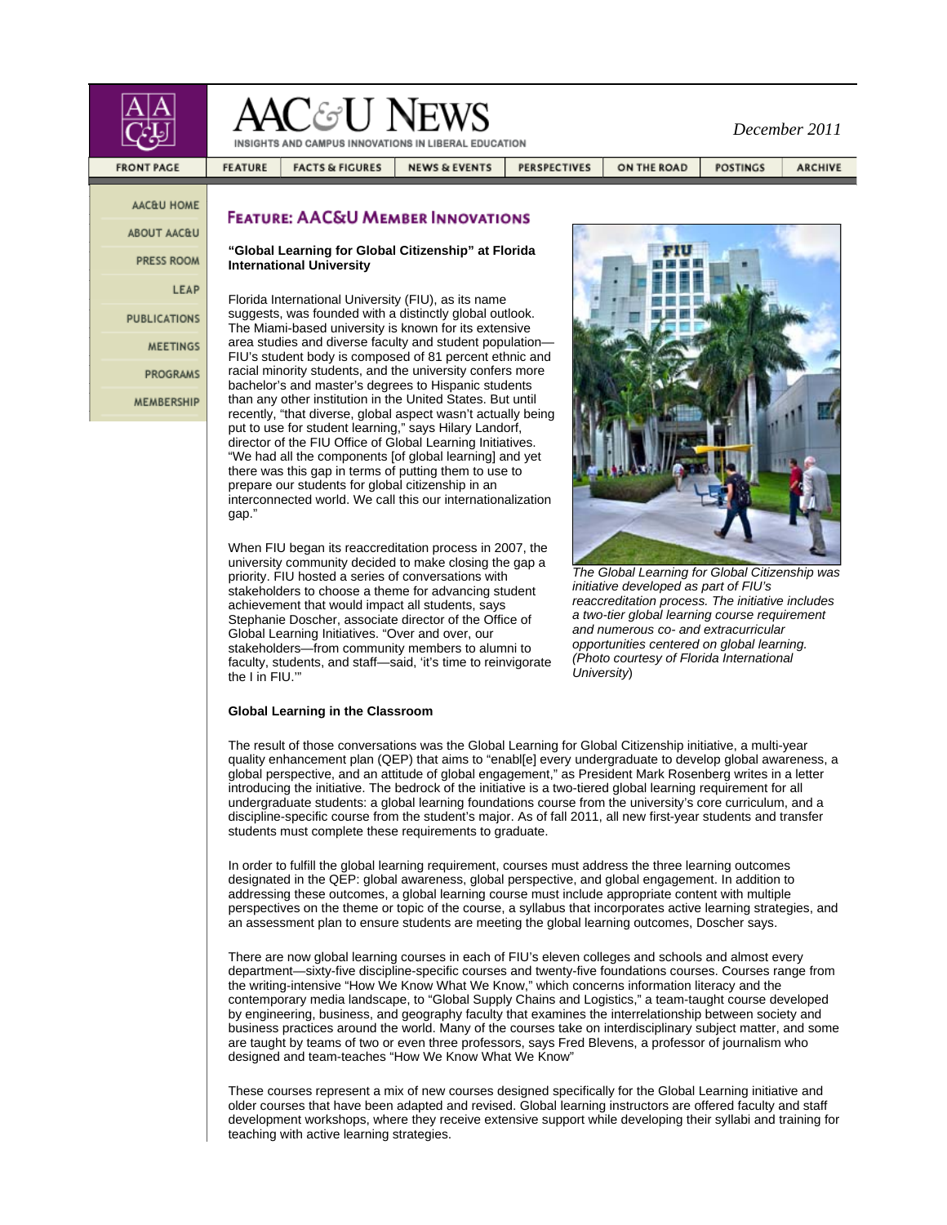|                           | AAC&U NEWS<br>INSIGHTS AND CAMPUS INNOVATIONS IN LIBERAL EDUCATION                                                                                                                                                                                                |                                              |                          |                     | December 2011 |                 |                |
|---------------------------|-------------------------------------------------------------------------------------------------------------------------------------------------------------------------------------------------------------------------------------------------------------------|----------------------------------------------|--------------------------|---------------------|---------------|-----------------|----------------|
| <b>FRONT PAGE</b>         | <b>FEATURE</b>                                                                                                                                                                                                                                                    | <b>FACTS &amp; FIGURES</b>                   | <b>NEWS &amp; EVENTS</b> | <b>PERSPECTIVES</b> | ON THE ROAD   | <b>POSTINGS</b> | <b>ARCHIVE</b> |
| AAC&U HOME<br>ABOUT AAC&U |                                                                                                                                                                                                                                                                   | <b>FEATURE: AAC&amp;U MEMBER INNOVATIONS</b> |                          |                     |               |                 |                |
| <b>PRESS ROOM</b>         | "Global Learning for Global Citizenship" at Florida<br><b>International University</b><br>Florida International University (FIU), as its name<br>suggests, was founded with a distinctly global outlook.<br>The Miami-based university is known for its extensive |                                              |                          |                     |               |                 |                |
| LEAP                      |                                                                                                                                                                                                                                                                   |                                              |                          |                     |               |                 |                |
| <b>PUBLICATIONS</b>       |                                                                                                                                                                                                                                                                   |                                              |                          |                     |               |                 |                |
| <b>MEETINGS</b>           | area studies and diverse faculty and student population-<br>FIU's student body is composed of 81 percent ethnic and                                                                                                                                               |                                              |                          |                     |               |                 |                |
| <b>PROGRAMS</b>           | racial minority students, and the university confers more<br>bachelor's and master's degrees to Hispanic students                                                                                                                                                 |                                              |                          |                     |               |                 |                |
| <b>MEMBERSHIP</b>         | than any other institution in the United States. But until<br>recently, "that diverse, global aspect wasn't actually being                                                                                                                                        |                                              |                          |                     |               |                 |                |

put to use for student learning," says Hilary Landorf, director of the FIU Office of Global Learning Initiatives. "We had all the components [of global learning] and yet there was this gap in terms of putting them to use to prepare our students for global citizenship in an interconnected world. We call this our internationalization gap."

When FIU began its reaccreditation process in 2007, the university community decided to make closing the gap a priority. FIU hosted a series of conversations with stakeholders to choose a theme for advancing student achievement that would impact all students, says Stephanie Doscher, associate director of the Office of Global Learning Initiatives. "Over and over, our stakeholders—from community members to alumni to faculty, students, and staff—said, 'it's time to reinvigorate the I in FIU.'"

# *The Global Learning for Global Citizenship was*

*initiative developed as part of FIU's reaccreditation process. The initiative includes a two-tier global learning course requirement and numerous co- and extracurricular opportunities centered on global learning. (Photo courtesy of Florida International University*)

# **Global Learning in the Classroom**

The result of those conversations was the Global Learning for Global Citizenship initiative, a multi-year quality enhancement plan (QEP) that aims to "enabl[e] every undergraduate to develop global awareness, a global perspective, and an attitude of global engagement," as President Mark Rosenberg writes in a letter introducing the initiative. The bedrock of the initiative is a two-tiered global learning requirement for all undergraduate students: a global learning foundations course from the university's core curriculum, and a discipline-specific course from the student's major. As of fall 2011, all new first-year students and transfer students must complete these requirements to graduate.

In order to fulfill the global learning requirement, courses must address the three learning outcomes designated in the QEP: global awareness, global perspective, and global engagement. In addition to addressing these outcomes, a global learning course must include appropriate content with multiple perspectives on the theme or topic of the course, a syllabus that incorporates active learning strategies, and an assessment plan to ensure students are meeting the global learning outcomes, Doscher says.

There are now global learning courses in each of FIU's eleven colleges and schools and almost every department—sixty-five discipline-specific courses and twenty-five foundations courses. Courses range from the writing-intensive "How We Know What We Know," which concerns information literacy and the contemporary media landscape, to "Global Supply Chains and Logistics," a team-taught course developed by engineering, business, and geography faculty that examines the interrelationship between society and business practices around the world. Many of the courses take on interdisciplinary subject matter, and some are taught by teams of two or even three professors, says Fred Blevens, a professor of journalism who designed and team-teaches "How We Know What We Know"

These courses represent a mix of new courses designed specifically for the Global Learning initiative and older courses that have been adapted and revised. Global learning instructors are offered faculty and staff development workshops, where they receive extensive support while developing their syllabi and training for teaching with active learning strategies.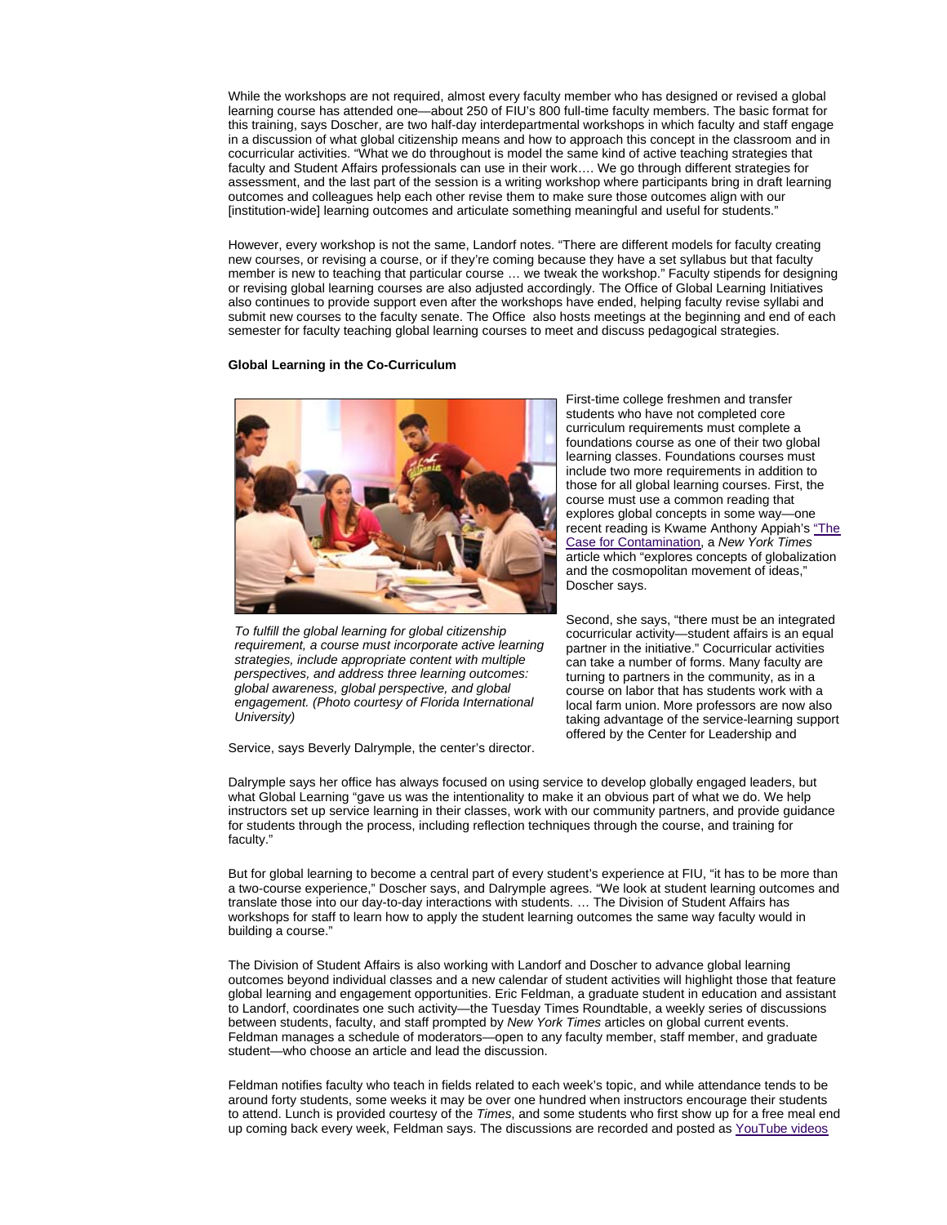While the workshops are not required, almost every faculty member who has designed or revised a global learning course has attended one—about 250 of FIU's 800 full-time faculty members. The basic format for this training, says Doscher, are two half-day interdepartmental workshops in which faculty and staff engage in a discussion of what global citizenship means and how to approach this concept in the classroom and in cocurricular activities. "What we do throughout is model the same kind of active teaching strategies that faculty and Student Affairs professionals can use in their work…. We go through different strategies for assessment, and the last part of the session is a writing workshop where participants bring in draft learning outcomes and colleagues help each other revise them to make sure those outcomes align with our [institution-wide] learning outcomes and articulate something meaningful and useful for students."

However, every workshop is not the same, Landorf notes. "There are different models for faculty creating new courses, or revising a course, or if they're coming because they have a set syllabus but that faculty member is new to teaching that particular course … we tweak the workshop." Faculty stipends for designing or revising global learning courses are also adjusted accordingly. The Office of Global Learning Initiatives also continues to provide support even after the workshops have ended, helping faculty revise syllabi and submit new courses to the faculty senate. The Office also hosts meetings at the beginning and end of each semester for faculty teaching global learning courses to meet and discuss pedagogical strategies.

## **Global Learning in the Co-Curriculum**



*To fulfill the global learning for global citizenship requirement, a course must incorporate active learning strategies, include appropriate content with multiple perspectives, and address three learning outcomes: global awareness, global perspective, and global engagement. (Photo courtesy of Florida International University)*

Service, says Beverly Dalrymple, the center's director.

First-time college freshmen and transfer students who have not completed core curriculum requirements must complete a foundations course as one of their two global learning classes. Foundations courses must include two more requirements in addition to those for all global learning courses. First, the course must use a common reading that explores global concepts in some way—one recent reading is Kwame Anthony Appiah's "The Case for Contamination, a *New York Times* article which "explores concepts of globalization and the cosmopolitan movement of ideas," Doscher says.

Second, she says, "there must be an integrated cocurricular activity—student affairs is an equal partner in the initiative." Cocurricular activities can take a number of forms. Many faculty are turning to partners in the community, as in a course on labor that has students work with a local farm union. More professors are now also taking advantage of the service-learning support offered by the Center for Leadership and

Dalrymple says her office has always focused on using service to develop globally engaged leaders, but what Global Learning "gave us was the intentionality to make it an obvious part of what we do. We help instructors set up service learning in their classes, work with our community partners, and provide guidance for students through the process, including reflection techniques through the course, and training for faculty."

But for global learning to become a central part of every student's experience at FIU, "it has to be more than a two-course experience," Doscher says, and Dalrymple agrees. "We look at student learning outcomes and translate those into our day-to-day interactions with students. … The Division of Student Affairs has workshops for staff to learn how to apply the student learning outcomes the same way faculty would in building a course."

The Division of Student Affairs is also working with Landorf and Doscher to advance global learning outcomes beyond individual classes and a new calendar of student activities will highlight those that feature global learning and engagement opportunities. Eric Feldman, a graduate student in education and assistant to Landorf, coordinates one such activity—the Tuesday Times Roundtable, a weekly series of discussions between students, faculty, and staff prompted by *New York Times* articles on global current events. Feldman manages a schedule of moderators—open to any faculty member, staff member, and graduate student—who choose an article and lead the discussion.

Feldman notifies faculty who teach in fields related to each week's topic, and while attendance tends to be around forty students, some weeks it may be over one hundred when instructors encourage their students to attend. Lunch is provided courtesy of the *Times*, and some students who first show up for a free meal end up coming back every week, Feldman says. The discussions are recorded and posted as YouTube videos